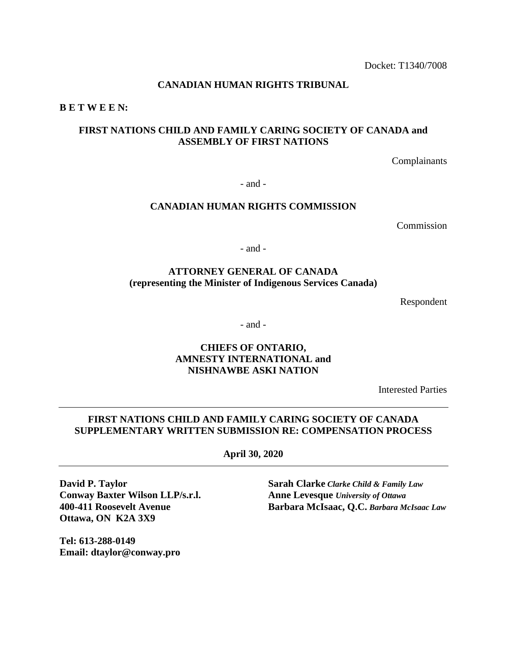#### **CANADIAN HUMAN RIGHTS TRIBUNAL**

**B E T W E E N:**

### **FIRST NATIONS CHILD AND FAMILY CARING SOCIETY OF CANADA and ASSEMBLY OF FIRST NATIONS**

Complainants

- and -

#### **CANADIAN HUMAN RIGHTS COMMISSION**

**Commission** 

- and -

# **ATTORNEY GENERAL OF CANADA (representing the Minister of Indigenous Services Canada)**

Respondent

- and -

#### **CHIEFS OF ONTARIO, AMNESTY INTERNATIONAL and NISHNAWBE ASKI NATION**

Interested Parties

# **FIRST NATIONS CHILD AND FAMILY CARING SOCIETY OF CANADA SUPPLEMENTARY WRITTEN SUBMISSION RE: COMPENSATION PROCESS**

**April 30, 2020**

**David P. Taylor Sarah Clarke** *Clarke Child & Family Law* **Conway Baxter Wilson LLP/s.r.l. Anne Levesque** *University of Ottawa* **Ottawa, ON K2A 3X9**

**400-411 Roosevelt Avenue Barbara McIsaac, Q.C.** *Barbara McIsaac Law*

**Tel: 613-288-0149 Email: dtaylor@conway.pro**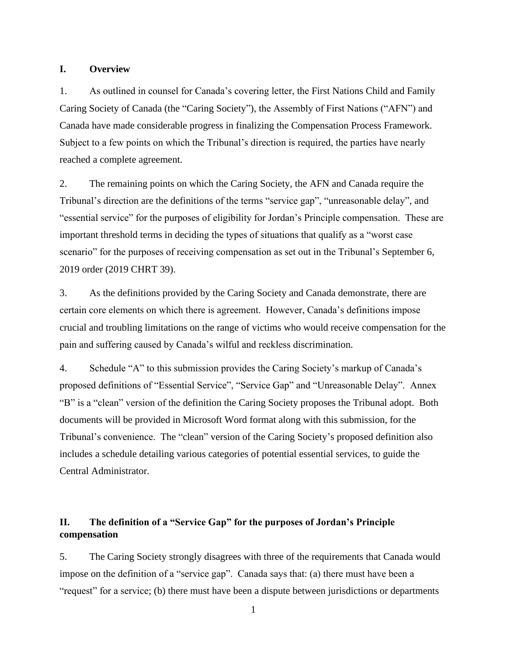#### **I. Overview**

1. As outlined in counsel for Canada's covering letter, the First Nations Child and Family Caring Society of Canada (the "Caring Society"), the Assembly of First Nations ("AFN") and Canada have made considerable progress in finalizing the Compensation Process Framework. Subject to a few points on which the Tribunal's direction is required, the parties have nearly reached a complete agreement.

2. The remaining points on which the Caring Society, the AFN and Canada require the Tribunal's direction are the definitions of the terms "service gap", "unreasonable delay", and "essential service" for the purposes of eligibility for Jordan's Principle compensation. These are important threshold terms in deciding the types of situations that qualify as a "worst case scenario" for the purposes of receiving compensation as set out in the Tribunal's September 6, 2019 order (2019 CHRT 39).

3. As the definitions provided by the Caring Society and Canada demonstrate, there are certain core elements on which there is agreement. However, Canada's definitions impose crucial and troubling limitations on the range of victims who would receive compensation for the pain and suffering caused by Canada's wilful and reckless discrimination.

4. Schedule "A" to this submission provides the Caring Society's markup of Canada's proposed definitions of "Essential Service", "Service Gap" and "Unreasonable Delay". Annex "B" is a "clean" version of the definition the Caring Society proposes the Tribunal adopt. Both documents will be provided in Microsoft Word format along with this submission, for the Tribunal's convenience. The "clean" version of the Caring Society's proposed definition also includes a schedule detailing various categories of potential essential services, to guide the Central Administrator.

### **II. The definition of a "Service Gap" for the purposes of Jordan's Principle compensation**

5. The Caring Society strongly disagrees with three of the requirements that Canada would impose on the definition of a "service gap". Canada says that: (a) there must have been a "request" for a service; (b) there must have been a dispute between jurisdictions or departments

1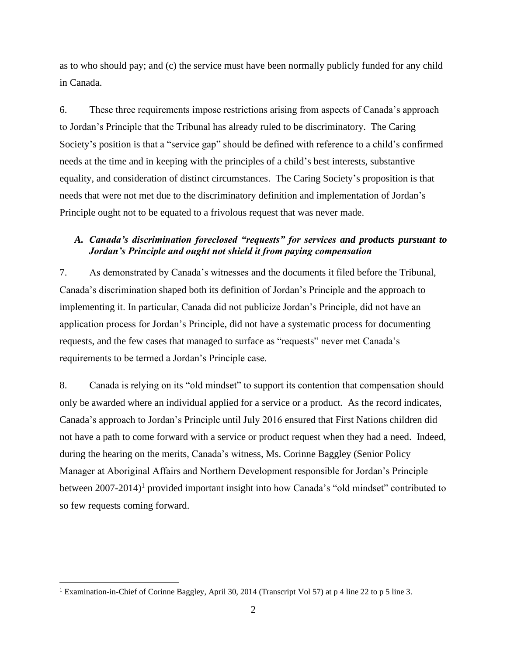as to who should pay; and (c) the service must have been normally publicly funded for any child in Canada.

6. These three requirements impose restrictions arising from aspects of Canada's approach to Jordan's Principle that the Tribunal has already ruled to be discriminatory. The Caring Society's position is that a "service gap" should be defined with reference to a child's confirmed needs at the time and in keeping with the principles of a child's best interests, substantive equality, and consideration of distinct circumstances. The Caring Society's proposition is that needs that were not met due to the discriminatory definition and implementation of Jordan's Principle ought not to be equated to a frivolous request that was never made.

# *A. Canada's discrimination foreclosed "requests" for services and products pursuant to Jordan's Principle and ought not shield it from paying compensation*

7. As demonstrated by Canada's witnesses and the documents it filed before the Tribunal, Canada's discrimination shaped both its definition of Jordan's Principle and the approach to implementing it. In particular, Canada did not publicize Jordan's Principle, did not have an application process for Jordan's Principle, did not have a systematic process for documenting requests, and the few cases that managed to surface as "requests" never met Canada's requirements to be termed a Jordan's Principle case.

8. Canada is relying on its "old mindset" to support its contention that compensation should only be awarded where an individual applied for a service or a product. As the record indicates, Canada's approach to Jordan's Principle until July 2016 ensured that First Nations children did not have a path to come forward with a service or product request when they had a need. Indeed, during the hearing on the merits, Canada's witness, Ms. Corinne Baggley (Senior Policy Manager at Aboriginal Affairs and Northern Development responsible for Jordan's Principle between 2007-2014)<sup>1</sup> provided important insight into how Canada's "old mindset" contributed to so few requests coming forward.

<sup>1</sup> Examination-in-Chief of Corinne Baggley, April 30, 2014 (Transcript Vol 57) at p 4 line 22 to p 5 line 3.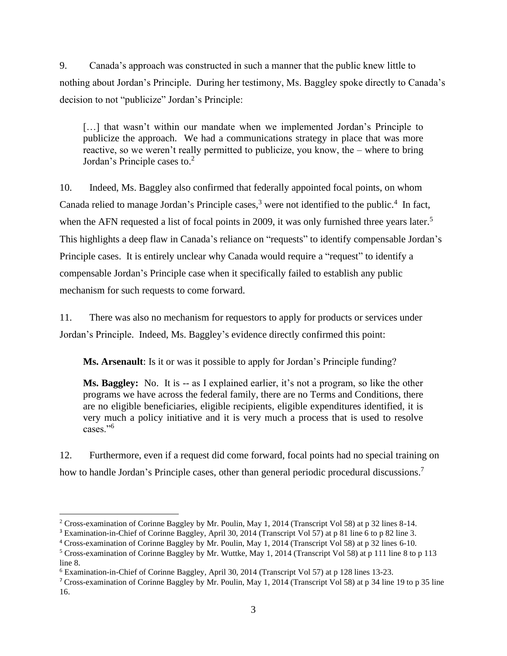9. Canada's approach was constructed in such a manner that the public knew little to nothing about Jordan's Principle. During her testimony, Ms. Baggley spoke directly to Canada's decision to not "publicize" Jordan's Principle:

[...] that wasn't within our mandate when we implemented Jordan's Principle to publicize the approach. We had a communications strategy in place that was more reactive, so we weren't really permitted to publicize, you know, the – where to bring Jordan's Principle cases to. $2$ 

10. Indeed, Ms. Baggley also confirmed that federally appointed focal points, on whom Canada relied to manage Jordan's Principle cases, $3$  were not identified to the public.<sup>4</sup> In fact, when the AFN requested a list of focal points in 2009, it was only furnished three years later.<sup>5</sup> This highlights a deep flaw in Canada's reliance on "requests" to identify compensable Jordan's Principle cases. It is entirely unclear why Canada would require a "request" to identify a compensable Jordan's Principle case when it specifically failed to establish any public mechanism for such requests to come forward.

11. There was also no mechanism for requestors to apply for products or services under Jordan's Principle. Indeed, Ms. Baggley's evidence directly confirmed this point:

**Ms. Arsenault**: Is it or was it possible to apply for Jordan's Principle funding?

**Ms. Baggley:** No. It is -- as I explained earlier, it's not a program, so like the other programs we have across the federal family, there are no Terms and Conditions, there are no eligible beneficiaries, eligible recipients, eligible expenditures identified, it is very much a policy initiative and it is very much a process that is used to resolve cases."<sup>6</sup>

12. Furthermore, even if a request did come forward, focal points had no special training on how to handle Jordan's Principle cases, other than general periodic procedural discussions.<sup>7</sup>

<sup>2</sup> Cross-examination of Corinne Baggley by Mr. Poulin, May 1, 2014 (Transcript Vol 58) at p 32 lines 8-14.

<sup>3</sup> Examination-in-Chief of Corinne Baggley, April 30, 2014 (Transcript Vol 57) at p 81 line 6 to p 82 line 3.

<sup>4</sup> Cross-examination of Corinne Baggley by Mr. Poulin, May 1, 2014 (Transcript Vol 58) at p 32 lines 6-10.

<sup>5</sup> Cross-examination of Corinne Baggley by Mr. Wuttke, May 1, 2014 (Transcript Vol 58) at p 111 line 8 to p 113 line 8.

<sup>6</sup> Examination-in-Chief of Corinne Baggley, April 30, 2014 (Transcript Vol 57) at p 128 lines 13-23.

<sup>7</sup> Cross-examination of Corinne Baggley by Mr. Poulin, May 1, 2014 (Transcript Vol 58) at p 34 line 19 to p 35 line 16.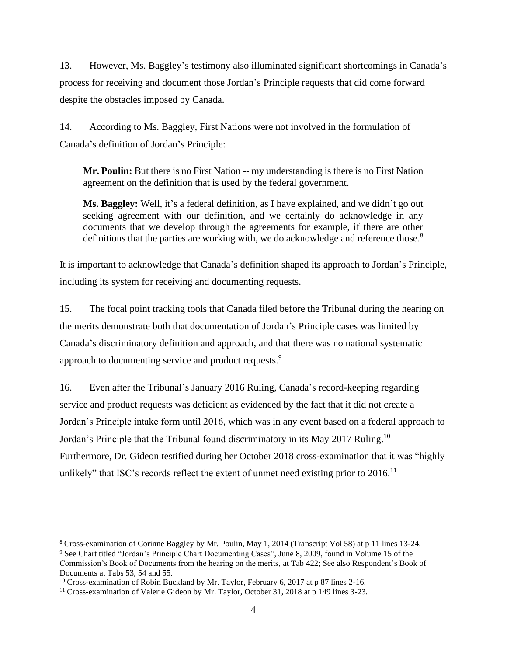13. However, Ms. Baggley's testimony also illuminated significant shortcomings in Canada's process for receiving and document those Jordan's Principle requests that did come forward despite the obstacles imposed by Canada.

14. According to Ms. Baggley, First Nations were not involved in the formulation of Canada's definition of Jordan's Principle:

**Mr. Poulin:** But there is no First Nation -- my understanding is there is no First Nation agreement on the definition that is used by the federal government.

**Ms. Baggley:** Well, it's a federal definition, as I have explained, and we didn't go out seeking agreement with our definition, and we certainly do acknowledge in any documents that we develop through the agreements for example, if there are other definitions that the parties are working with, we do acknowledge and reference those.<sup>8</sup>

It is important to acknowledge that Canada's definition shaped its approach to Jordan's Principle, including its system for receiving and documenting requests.

15. The focal point tracking tools that Canada filed before the Tribunal during the hearing on the merits demonstrate both that documentation of Jordan's Principle cases was limited by Canada's discriminatory definition and approach, and that there was no national systematic approach to documenting service and product requests.<sup>9</sup>

16. Even after the Tribunal's January 2016 Ruling, Canada's record-keeping regarding service and product requests was deficient as evidenced by the fact that it did not create a Jordan's Principle intake form until 2016, which was in any event based on a federal approach to Jordan's Principle that the Tribunal found discriminatory in its May 2017 Ruling.<sup>10</sup> Furthermore, Dr. Gideon testified during her October 2018 cross-examination that it was "highly unlikely" that ISC's records reflect the extent of unmet need existing prior to  $2016$ .<sup>11</sup>

<sup>8</sup> Cross-examination of Corinne Baggley by Mr. Poulin, May 1, 2014 (Transcript Vol 58) at p 11 lines 13-24.

<sup>&</sup>lt;sup>9</sup> See Chart titled "Jordan's Principle Chart Documenting Cases", June 8, 2009, found in Volume 15 of the Commission's Book of Documents from the hearing on the merits, at Tab 422; See also Respondent's Book of Documents at Tabs 53, 54 and 55.

<sup>&</sup>lt;sup>10</sup> Cross-examination of Robin Buckland by Mr. Taylor, February 6, 2017 at p 87 lines 2-16.

<sup>&</sup>lt;sup>11</sup> Cross-examination of Valerie Gideon by Mr. Taylor, October 31, 2018 at p 149 lines 3-23.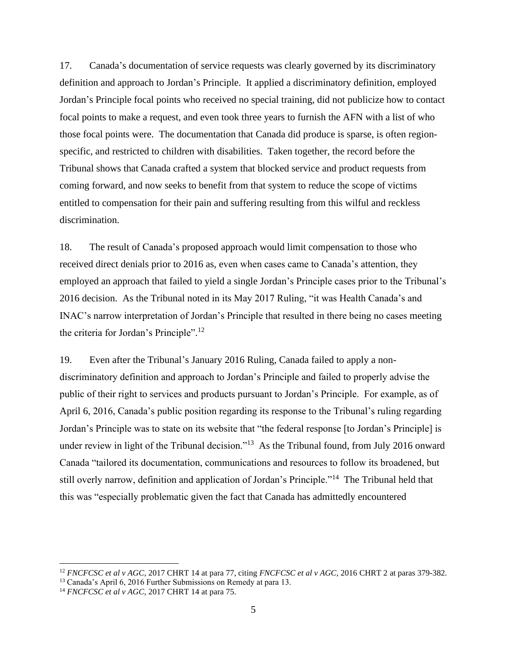17. Canada's documentation of service requests was clearly governed by its discriminatory definition and approach to Jordan's Principle. It applied a discriminatory definition, employed Jordan's Principle focal points who received no special training, did not publicize how to contact focal points to make a request, and even took three years to furnish the AFN with a list of who those focal points were. The documentation that Canada did produce is sparse, is often regionspecific, and restricted to children with disabilities. Taken together, the record before the Tribunal shows that Canada crafted a system that blocked service and product requests from coming forward, and now seeks to benefit from that system to reduce the scope of victims entitled to compensation for their pain and suffering resulting from this wilful and reckless discrimination.

18. The result of Canada's proposed approach would limit compensation to those who received direct denials prior to 2016 as, even when cases came to Canada's attention, they employed an approach that failed to yield a single Jordan's Principle cases prior to the Tribunal's 2016 decision. As the Tribunal noted in its May 2017 Ruling, "it was Health Canada's and INAC's narrow interpretation of Jordan's Principle that resulted in there being no cases meeting the criteria for Jordan's Principle".<sup>12</sup>

19. Even after the Tribunal's January 2016 Ruling, Canada failed to apply a nondiscriminatory definition and approach to Jordan's Principle and failed to properly advise the public of their right to services and products pursuant to Jordan's Principle. For example, as of April 6, 2016, Canada's public position regarding its response to the Tribunal's ruling regarding Jordan's Principle was to state on its website that "the federal response [to Jordan's Principle] is under review in light of the Tribunal decision."<sup>13</sup> As the Tribunal found, from July 2016 onward Canada "tailored its documentation, communications and resources to follow its broadened, but still overly narrow, definition and application of Jordan's Principle."<sup>14</sup> The Tribunal held that this was "especially problematic given the fact that Canada has admittedly encountered

<sup>12</sup> *FNCFCSC et al v AGC*, 2017 CHRT 14 at para 77, citing *FNCFCSC et al v AGC*, 2016 CHRT 2 at paras 379-382.

<sup>&</sup>lt;sup>13</sup> Canada's April 6, 2016 Further Submissions on Remedy at para 13.

<sup>14</sup> *FNCFCSC et al v AGC*, 2017 CHRT 14 at para 75.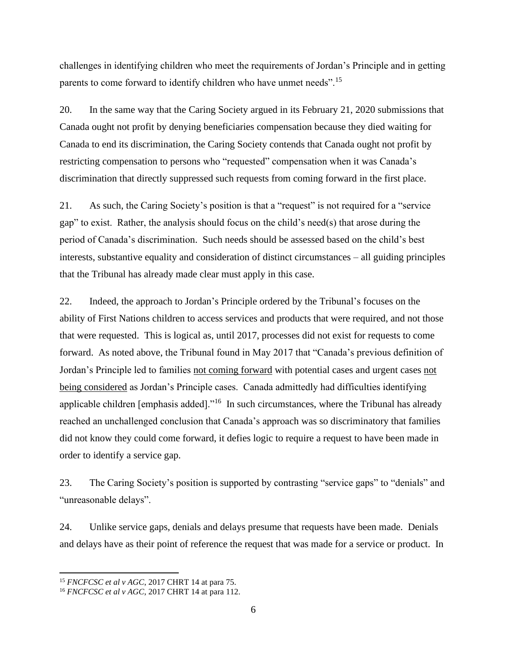challenges in identifying children who meet the requirements of Jordan's Principle and in getting parents to come forward to identify children who have unmet needs".<sup>15</sup>

20. In the same way that the Caring Society argued in its February 21, 2020 submissions that Canada ought not profit by denying beneficiaries compensation because they died waiting for Canada to end its discrimination, the Caring Society contends that Canada ought not profit by restricting compensation to persons who "requested" compensation when it was Canada's discrimination that directly suppressed such requests from coming forward in the first place.

21. As such, the Caring Society's position is that a "request" is not required for a "service gap" to exist. Rather, the analysis should focus on the child's need(s) that arose during the period of Canada's discrimination. Such needs should be assessed based on the child's best interests, substantive equality and consideration of distinct circumstances – all guiding principles that the Tribunal has already made clear must apply in this case.

22. Indeed, the approach to Jordan's Principle ordered by the Tribunal's focuses on the ability of First Nations children to access services and products that were required, and not those that were requested. This is logical as, until 2017, processes did not exist for requests to come forward. As noted above, the Tribunal found in May 2017 that "Canada's previous definition of Jordan's Principle led to families not coming forward with potential cases and urgent cases not being considered as Jordan's Principle cases. Canada admittedly had difficulties identifying applicable children [emphasis added]."<sup>16</sup> In such circumstances, where the Tribunal has already reached an unchallenged conclusion that Canada's approach was so discriminatory that families did not know they could come forward, it defies logic to require a request to have been made in order to identify a service gap.

23. The Caring Society's position is supported by contrasting "service gaps" to "denials" and "unreasonable delays".

24. Unlike service gaps, denials and delays presume that requests have been made. Denials and delays have as their point of reference the request that was made for a service or product. In

<sup>15</sup> *FNCFCSC et al v AGC*, 2017 CHRT 14 at para 75.

<sup>16</sup> *FNCFCSC et al v AGC*, 2017 CHRT 14 at para 112.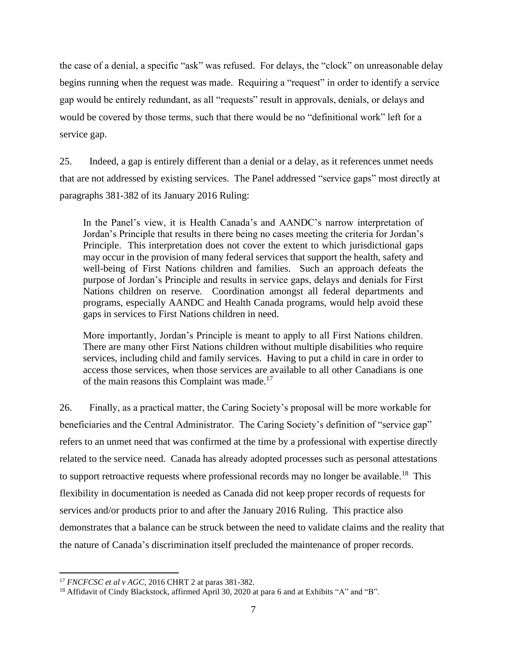the case of a denial, a specific "ask" was refused. For delays, the "clock" on unreasonable delay begins running when the request was made. Requiring a "request" in order to identify a service gap would be entirely redundant, as all "requests" result in approvals, denials, or delays and would be covered by those terms, such that there would be no "definitional work" left for a service gap.

25. Indeed, a gap is entirely different than a denial or a delay, as it references unmet needs that are not addressed by existing services. The Panel addressed "service gaps" most directly at paragraphs 381-382 of its January 2016 Ruling:

In the Panel's view, it is Health Canada's and AANDC's narrow interpretation of Jordan's Principle that results in there being no cases meeting the criteria for Jordan's Principle. This interpretation does not cover the extent to which jurisdictional gaps may occur in the provision of many federal services that support the health, safety and well-being of First Nations children and families. Such an approach defeats the purpose of Jordan's Principle and results in service gaps, delays and denials for First Nations children on reserve. Coordination amongst all federal departments and programs, especially AANDC and Health Canada programs, would help avoid these gaps in services to First Nations children in need.

More importantly, Jordan's Principle is meant to apply to all First Nations children. There are many other First Nations children without multiple disabilities who require services, including child and family services. Having to put a child in care in order to access those services, when those services are available to all other Canadians is one of the main reasons this Complaint was made.<sup>17</sup>

26. Finally, as a practical matter, the Caring Society's proposal will be more workable for beneficiaries and the Central Administrator. The Caring Society's definition of "service gap" refers to an unmet need that was confirmed at the time by a professional with expertise directly related to the service need. Canada has already adopted processes such as personal attestations to support retroactive requests where professional records may no longer be available.<sup>18</sup> This flexibility in documentation is needed as Canada did not keep proper records of requests for services and/or products prior to and after the January 2016 Ruling. This practice also demonstrates that a balance can be struck between the need to validate claims and the reality that the nature of Canada's discrimination itself precluded the maintenance of proper records.

<sup>17</sup> *FNCFCSC et al v AGC*, 2016 CHRT 2 at paras 381-382.

<sup>&</sup>lt;sup>18</sup> Affidavit of Cindy Blackstock, affirmed April 30, 2020 at para 6 and at Exhibits "A" and "B".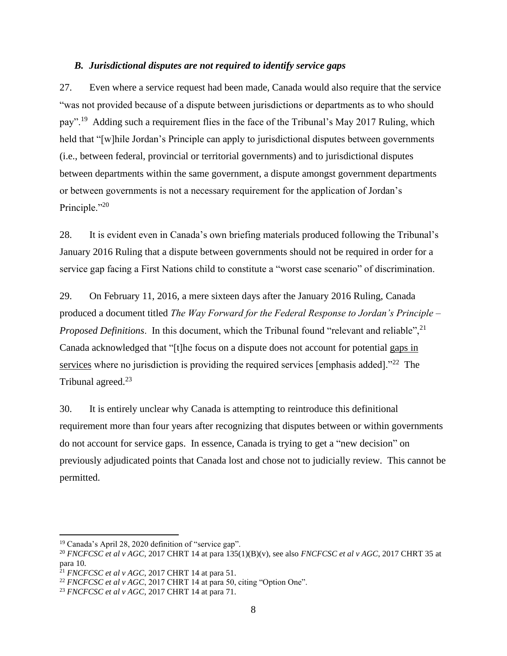#### *B. Jurisdictional disputes are not required to identify service gaps*

27. Even where a service request had been made, Canada would also require that the service "was not provided because of a dispute between jurisdictions or departments as to who should pay".<sup>19</sup> Adding such a requirement flies in the face of the Tribunal's May 2017 Ruling, which held that "[w]hile Jordan's Principle can apply to jurisdictional disputes between governments (i.e., between federal, provincial or territorial governments) and to jurisdictional disputes between departments within the same government, a dispute amongst government departments or between governments is not a necessary requirement for the application of Jordan's Principle."<sup>20</sup>

28. It is evident even in Canada's own briefing materials produced following the Tribunal's January 2016 Ruling that a dispute between governments should not be required in order for a service gap facing a First Nations child to constitute a "worst case scenario" of discrimination.

29. On February 11, 2016, a mere sixteen days after the January 2016 Ruling, Canada produced a document titled *The Way Forward for the Federal Response to Jordan's Principle – Proposed Definitions*. In this document, which the Tribunal found "relevant and reliable",<sup>21</sup> Canada acknowledged that "[t]he focus on a dispute does not account for potential gaps in services where no jurisdiction is providing the required services [emphasis added]."<sup>22</sup> The Tribunal agreed.<sup>23</sup>

30. It is entirely unclear why Canada is attempting to reintroduce this definitional requirement more than four years after recognizing that disputes between or within governments do not account for service gaps. In essence, Canada is trying to get a "new decision" on previously adjudicated points that Canada lost and chose not to judicially review. This cannot be permitted.

<sup>19</sup> Canada's April 28, 2020 definition of "service gap".

<sup>20</sup> *FNCFCSC et al v AGC*, 2017 CHRT 14 at para 135(1)(B)(v), see also *FNCFCSC et al v AGC*, 2017 CHRT 35 at para 10.

<sup>21</sup> *FNCFCSC et al v AGC*, 2017 CHRT 14 at para 51.

<sup>&</sup>lt;sup>22</sup> *FNCFCSC et al v AGC*, 2017 CHRT 14 at para 50, citing "Option One".

<sup>23</sup> *FNCFCSC et al v AGC*, 2017 CHRT 14 at para 71.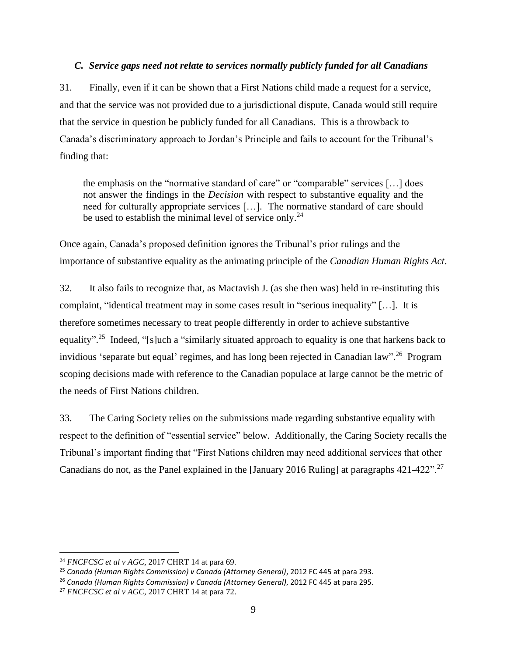### *C. Service gaps need not relate to services normally publicly funded for all Canadians*

31. Finally, even if it can be shown that a First Nations child made a request for a service, and that the service was not provided due to a jurisdictional dispute, Canada would still require that the service in question be publicly funded for all Canadians. This is a throwback to Canada's discriminatory approach to Jordan's Principle and fails to account for the Tribunal's finding that:

the emphasis on the "normative standard of care" or "comparable" services […] does not answer the findings in the *Decision* with respect to substantive equality and the need for culturally appropriate services […]. The normative standard of care should be used to establish the minimal level of service only.<sup>24</sup>

Once again, Canada's proposed definition ignores the Tribunal's prior rulings and the importance of substantive equality as the animating principle of the *Canadian Human Rights Act*.

32. It also fails to recognize that, as Mactavish J. (as she then was) held in re-instituting this complaint, "identical treatment may in some cases result in "serious inequality" […]. It is therefore sometimes necessary to treat people differently in order to achieve substantive equality"<sup>25</sup> Indeed, "[s]uch a "similarly situated approach to equality is one that harkens back to invidious 'separate but equal' regimes, and has long been rejected in Canadian law".<sup>26</sup> Program scoping decisions made with reference to the Canadian populace at large cannot be the metric of the needs of First Nations children.

33. The Caring Society relies on the submissions made regarding substantive equality with respect to the definition of "essential service" below. Additionally, the Caring Society recalls the Tribunal's important finding that "First Nations children may need additional services that other Canadians do not, as the Panel explained in the [January 2016 Ruling] at paragraphs 421-422".<sup>27</sup>

<sup>24</sup> *FNCFCSC et al v AGC*, 2017 CHRT 14 at para 69.

<sup>25</sup> *Canada (Human Rights Commission) v Canada (Attorney General)*, 2012 FC 445 at para 293.

<sup>26</sup> *Canada (Human Rights Commission) v Canada (Attorney General)*, 2012 FC 445 at para 295.

<sup>27</sup> *FNCFCSC et al v AGC*, 2017 CHRT 14 at para 72.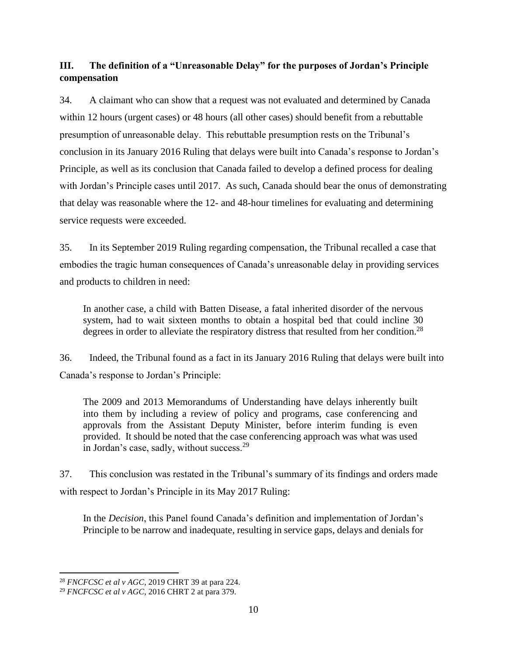# **III. The definition of a "Unreasonable Delay" for the purposes of Jordan's Principle compensation**

34. A claimant who can show that a request was not evaluated and determined by Canada within 12 hours (urgent cases) or 48 hours (all other cases) should benefit from a rebuttable presumption of unreasonable delay. This rebuttable presumption rests on the Tribunal's conclusion in its January 2016 Ruling that delays were built into Canada's response to Jordan's Principle, as well as its conclusion that Canada failed to develop a defined process for dealing with Jordan's Principle cases until 2017. As such, Canada should bear the onus of demonstrating that delay was reasonable where the 12- and 48-hour timelines for evaluating and determining service requests were exceeded.

35. In its September 2019 Ruling regarding compensation, the Tribunal recalled a case that embodies the tragic human consequences of Canada's unreasonable delay in providing services and products to children in need:

In another case, a child with Batten Disease, a fatal inherited disorder of the nervous system, had to wait sixteen months to obtain a hospital bed that could incline 30 degrees in order to alleviate the respiratory distress that resulted from her condition.<sup>28</sup>

36. Indeed, the Tribunal found as a fact in its January 2016 Ruling that delays were built into Canada's response to Jordan's Principle:

The 2009 and 2013 Memorandums of Understanding have delays inherently built into them by including a review of policy and programs, case conferencing and approvals from the Assistant Deputy Minister, before interim funding is even provided. It should be noted that the case conferencing approach was what was used in Jordan's case, sadly, without success.<sup>29</sup>

37. This conclusion was restated in the Tribunal's summary of its findings and orders made with respect to Jordan's Principle in its May 2017 Ruling:

In the *Decision*, this Panel found Canada's definition and implementation of Jordan's Principle to be narrow and inadequate, resulting in service gaps, delays and denials for

<sup>28</sup> *FNCFCSC et al v AGC*, 2019 CHRT 39 at para 224.

<sup>29</sup> *FNCFCSC et al v AGC*, 2016 CHRT 2 at para 379.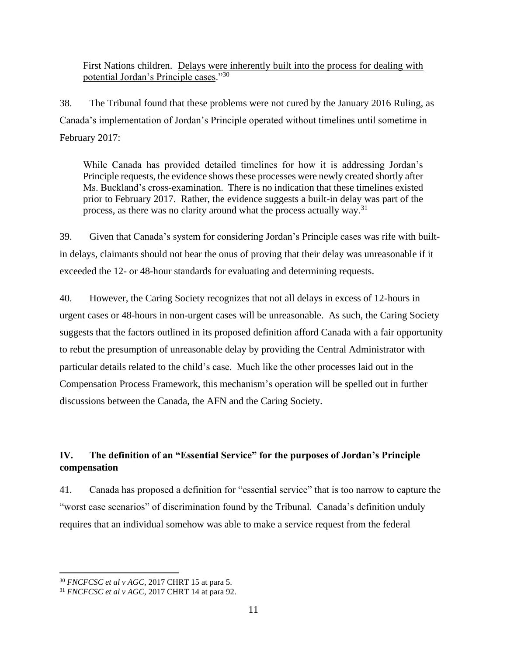First Nations children. Delays were inherently built into the process for dealing with potential Jordan's Principle cases."30

38. The Tribunal found that these problems were not cured by the January 2016 Ruling, as Canada's implementation of Jordan's Principle operated without timelines until sometime in February 2017:

While Canada has provided detailed timelines for how it is addressing Jordan's Principle requests, the evidence shows these processes were newly created shortly after Ms. Buckland's cross-examination. There is no indication that these timelines existed prior to February 2017. Rather, the evidence suggests a built-in delay was part of the process, as there was no clarity around what the process actually way.<sup>31</sup>

39. Given that Canada's system for considering Jordan's Principle cases was rife with builtin delays, claimants should not bear the onus of proving that their delay was unreasonable if it exceeded the 12- or 48-hour standards for evaluating and determining requests.

40. However, the Caring Society recognizes that not all delays in excess of 12-hours in urgent cases or 48-hours in non-urgent cases will be unreasonable. As such, the Caring Society suggests that the factors outlined in its proposed definition afford Canada with a fair opportunity to rebut the presumption of unreasonable delay by providing the Central Administrator with particular details related to the child's case. Much like the other processes laid out in the Compensation Process Framework, this mechanism's operation will be spelled out in further discussions between the Canada, the AFN and the Caring Society.

# **IV. The definition of an "Essential Service" for the purposes of Jordan's Principle compensation**

41. Canada has proposed a definition for "essential service" that is too narrow to capture the "worst case scenarios" of discrimination found by the Tribunal. Canada's definition unduly requires that an individual somehow was able to make a service request from the federal

<sup>30</sup> *FNCFCSC et al v AGC*, 2017 CHRT 15 at para 5.

<sup>31</sup> *FNCFCSC et al v AGC*, 2017 CHRT 14 at para 92.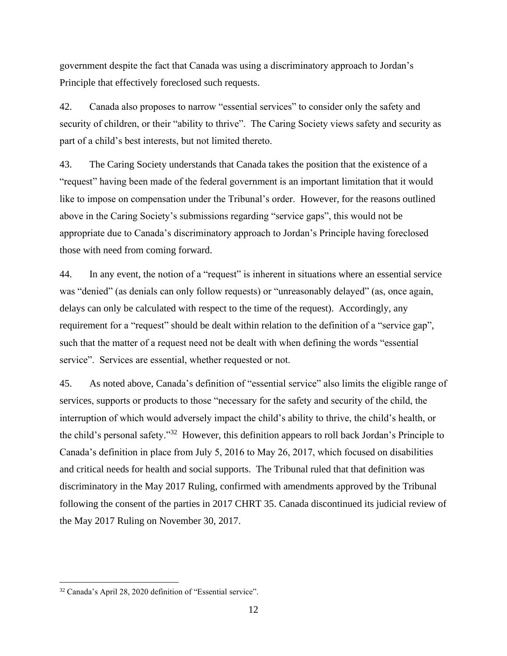government despite the fact that Canada was using a discriminatory approach to Jordan's Principle that effectively foreclosed such requests.

42. Canada also proposes to narrow "essential services" to consider only the safety and security of children, or their "ability to thrive". The Caring Society views safety and security as part of a child's best interests, but not limited thereto.

43. The Caring Society understands that Canada takes the position that the existence of a "request" having been made of the federal government is an important limitation that it would like to impose on compensation under the Tribunal's order. However, for the reasons outlined above in the Caring Society's submissions regarding "service gaps", this would not be appropriate due to Canada's discriminatory approach to Jordan's Principle having foreclosed those with need from coming forward.

44. In any event, the notion of a "request" is inherent in situations where an essential service was "denied" (as denials can only follow requests) or "unreasonably delayed" (as, once again, delays can only be calculated with respect to the time of the request). Accordingly, any requirement for a "request" should be dealt within relation to the definition of a "service gap", such that the matter of a request need not be dealt with when defining the words "essential service". Services are essential, whether requested or not.

45. As noted above, Canada's definition of "essential service" also limits the eligible range of services, supports or products to those "necessary for the safety and security of the child, the interruption of which would adversely impact the child's ability to thrive, the child's health, or the child's personal safety."<sup>32</sup> However, this definition appears to roll back Jordan's Principle to Canada's definition in place from July 5, 2016 to May 26, 2017, which focused on disabilities and critical needs for health and social supports. The Tribunal ruled that that definition was discriminatory in the May 2017 Ruling, confirmed with amendments approved by the Tribunal following the consent of the parties in 2017 CHRT 35. Canada discontinued its judicial review of the May 2017 Ruling on November 30, 2017.

<sup>32</sup> Canada's April 28, 2020 definition of "Essential service".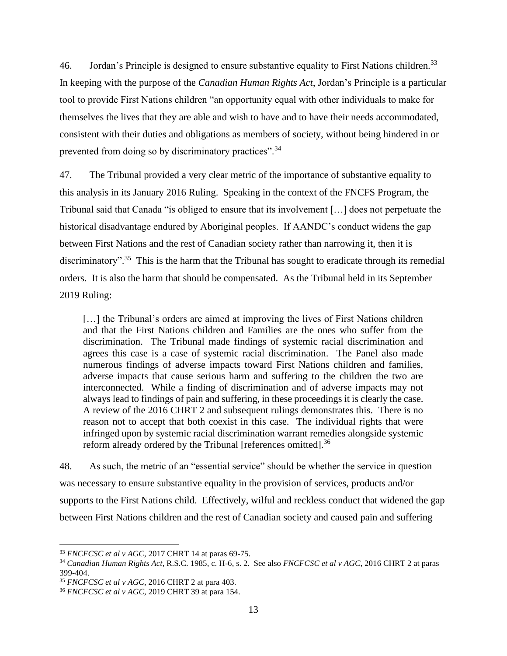46. Jordan's Principle is designed to ensure substantive equality to First Nations children.<sup>33</sup> In keeping with the purpose of the *Canadian Human Rights Act*, Jordan's Principle is a particular tool to provide First Nations children "an opportunity equal with other individuals to make for themselves the lives that they are able and wish to have and to have their needs accommodated, consistent with their duties and obligations as members of society, without being hindered in or prevented from doing so by discriminatory practices".<sup>34</sup>

47. The Tribunal provided a very clear metric of the importance of substantive equality to this analysis in its January 2016 Ruling. Speaking in the context of the FNCFS Program, the Tribunal said that Canada "is obliged to ensure that its involvement […] does not perpetuate the historical disadvantage endured by Aboriginal peoples. If AANDC's conduct widens the gap between First Nations and the rest of Canadian society rather than narrowing it, then it is discriminatory".<sup>35</sup> This is the harm that the Tribunal has sought to eradicate through its remedial orders. It is also the harm that should be compensated. As the Tribunal held in its September 2019 Ruling:

[…] the Tribunal's orders are aimed at improving the lives of First Nations children and that the First Nations children and Families are the ones who suffer from the discrimination. The Tribunal made findings of systemic racial discrimination and agrees this case is a case of systemic racial discrimination. The Panel also made numerous findings of adverse impacts toward First Nations children and families, adverse impacts that cause serious harm and suffering to the children the two are interconnected. While a finding of discrimination and of adverse impacts may not always lead to findings of pain and suffering, in these proceedings it is clearly the case. A review of the 2016 CHRT 2 and subsequent rulings demonstrates this. There is no reason not to accept that both coexist in this case. The individual rights that were infringed upon by systemic racial discrimination warrant remedies alongside systemic reform already ordered by the Tribunal [references omitted].<sup>36</sup>

48. As such, the metric of an "essential service" should be whether the service in question was necessary to ensure substantive equality in the provision of services, products and/or supports to the First Nations child. Effectively, wilful and reckless conduct that widened the gap between First Nations children and the rest of Canadian society and caused pain and suffering

<sup>33</sup> *FNCFCSC et al v AGC*, 2017 CHRT 14 at paras 69-75.

<sup>34</sup> *Canadian Human Rights Act*, R.S.C. 1985, c. H-6, s. 2. See also *FNCFCSC et al v AGC*, 2016 CHRT 2 at paras 399-404.

<sup>35</sup> *FNCFCSC et al v AGC*, 2016 CHRT 2 at para 403.

<sup>36</sup> *FNCFCSC et al v AGC*, 2019 CHRT 39 at para 154.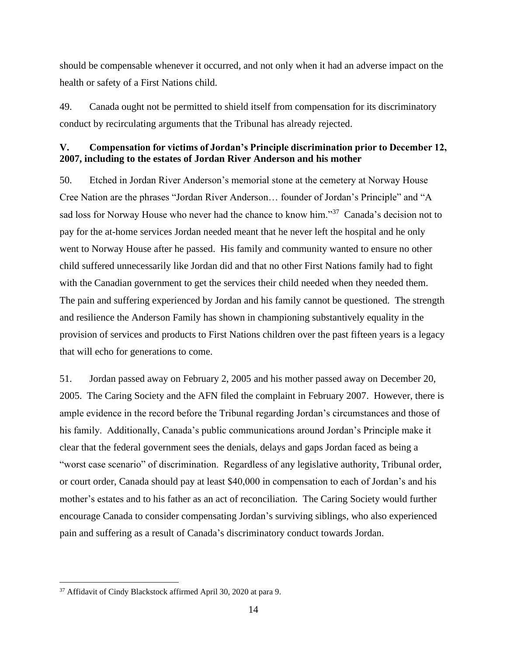should be compensable whenever it occurred, and not only when it had an adverse impact on the health or safety of a First Nations child.

49. Canada ought not be permitted to shield itself from compensation for its discriminatory conduct by recirculating arguments that the Tribunal has already rejected.

### **V. Compensation for victims of Jordan's Principle discrimination prior to December 12, 2007, including to the estates of Jordan River Anderson and his mother**

50. Etched in Jordan River Anderson's memorial stone at the cemetery at Norway House Cree Nation are the phrases "Jordan River Anderson… founder of Jordan's Principle" and "A sad loss for Norway House who never had the chance to know him."<sup>37</sup> Canada's decision not to pay for the at-home services Jordan needed meant that he never left the hospital and he only went to Norway House after he passed. His family and community wanted to ensure no other child suffered unnecessarily like Jordan did and that no other First Nations family had to fight with the Canadian government to get the services their child needed when they needed them. The pain and suffering experienced by Jordan and his family cannot be questioned. The strength and resilience the Anderson Family has shown in championing substantively equality in the provision of services and products to First Nations children over the past fifteen years is a legacy that will echo for generations to come.

51. Jordan passed away on February 2, 2005 and his mother passed away on December 20, 2005. The Caring Society and the AFN filed the complaint in February 2007. However, there is ample evidence in the record before the Tribunal regarding Jordan's circumstances and those of his family. Additionally, Canada's public communications around Jordan's Principle make it clear that the federal government sees the denials, delays and gaps Jordan faced as being a "worst case scenario" of discrimination. Regardless of any legislative authority, Tribunal order, or court order, Canada should pay at least \$40,000 in compensation to each of Jordan's and his mother's estates and to his father as an act of reconciliation. The Caring Society would further encourage Canada to consider compensating Jordan's surviving siblings, who also experienced pain and suffering as a result of Canada's discriminatory conduct towards Jordan.

<sup>37</sup> Affidavit of Cindy Blackstock affirmed April 30, 2020 at para 9.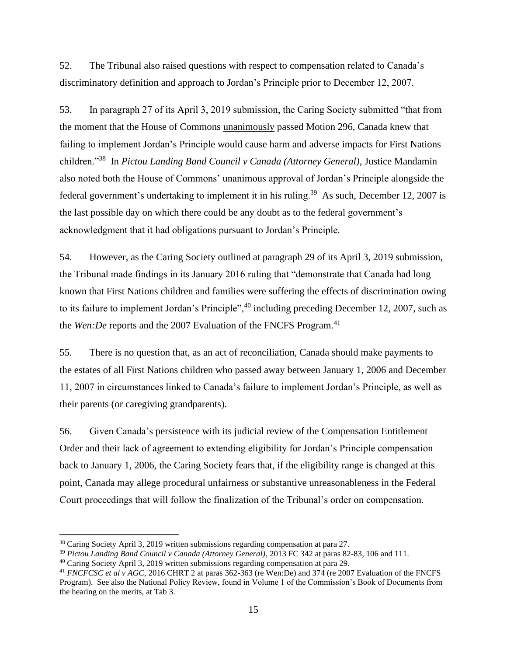52. The Tribunal also raised questions with respect to compensation related to Canada's discriminatory definition and approach to Jordan's Principle prior to December 12, 2007.

53. In paragraph 27 of its April 3, 2019 submission, the Caring Society submitted "that from the moment that the House of Commons unanimously passed Motion 296, Canada knew that failing to implement Jordan's Principle would cause harm and adverse impacts for First Nations children."<sup>38</sup> In *Pictou Landing Band Council v Canada (Attorney General)*, Justice Mandamin also noted both the House of Commons' unanimous approval of Jordan's Principle alongside the federal government's undertaking to implement it in his ruling.<sup>39</sup> As such, December 12, 2007 is the last possible day on which there could be any doubt as to the federal government's acknowledgment that it had obligations pursuant to Jordan's Principle.

54. However, as the Caring Society outlined at paragraph 29 of its April 3, 2019 submission, the Tribunal made findings in its January 2016 ruling that "demonstrate that Canada had long known that First Nations children and families were suffering the effects of discrimination owing to its failure to implement Jordan's Principle",<sup>40</sup> including preceding December 12, 2007, such as the *Wen:De* reports and the 2007 Evaluation of the FNCFS Program.<sup>41</sup>

55. There is no question that, as an act of reconciliation, Canada should make payments to the estates of all First Nations children who passed away between January 1, 2006 and December 11, 2007 in circumstances linked to Canada's failure to implement Jordan's Principle, as well as their parents (or caregiving grandparents).

56. Given Canada's persistence with its judicial review of the Compensation Entitlement Order and their lack of agreement to extending eligibility for Jordan's Principle compensation back to January 1, 2006, the Caring Society fears that, if the eligibility range is changed at this point, Canada may allege procedural unfairness or substantive unreasonableness in the Federal Court proceedings that will follow the finalization of the Tribunal's order on compensation.

<sup>38</sup> Caring Society April 3, 2019 written submissions regarding compensation at para 27.

<sup>39</sup> *Pictou Landing Band Council v Canada (Attorney General)*, 2013 FC 342 at paras 82-83, 106 and 111.

<sup>&</sup>lt;sup>40</sup> Caring Society April 3, 2019 written submissions regarding compensation at para 29.

<sup>41</sup> *FNCFCSC et al v AGC*, 2016 CHRT 2 at paras 362-363 (re Wen:De) and 374 (re 2007 Evaluation of the FNCFS Program). See also the National Policy Review, found in Volume 1 of the Commission's Book of Documents from the hearing on the merits, at Tab 3.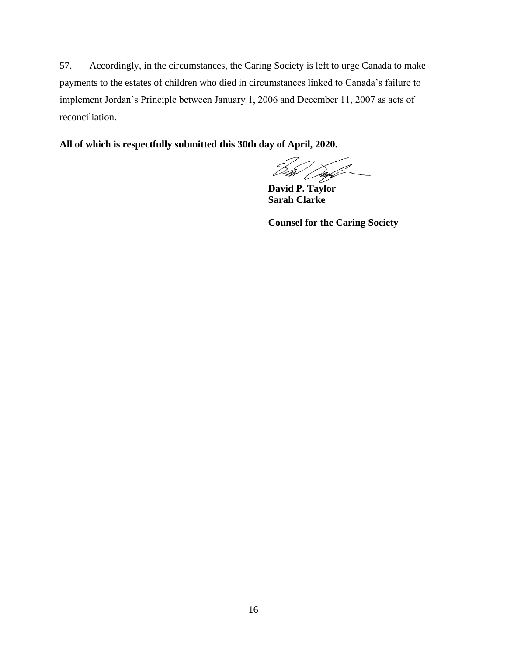57. Accordingly, in the circumstances, the Caring Society is left to urge Canada to make payments to the estates of children who died in circumstances linked to Canada's failure to implement Jordan's Principle between January 1, 2006 and December 11, 2007 as acts of reconciliation.

**All of which is respectfully submitted this 30th day of April, 2020.**

 $\sim$  and  $\sim$ 

**David P. Taylor Sarah Clarke**

**Counsel for the Caring Society**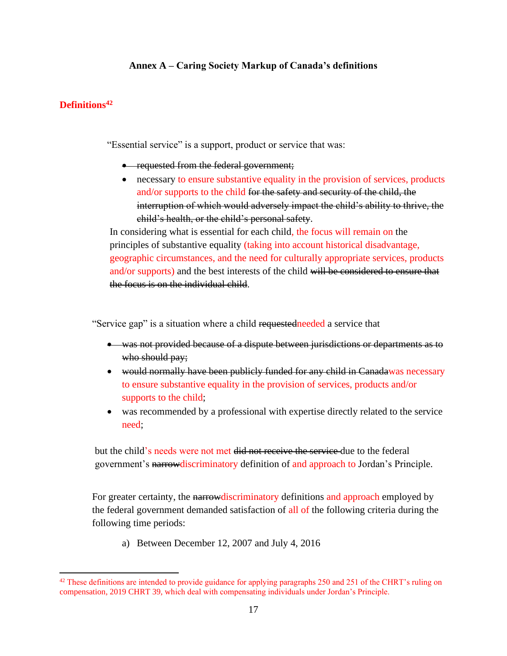# **Annex A – Caring Society Markup of Canada's definitions**

#### **Definitions<sup>42</sup>**

"Essential service" is a support, product or service that was:

- requested from the federal government;
- necessary to ensure substantive equality in the provision of services, products and/or supports to the child for the safety and security of the child, the interruption of which would adversely impact the child's ability to thrive, the child's health, or the child's personal safety.

In considering what is essential for each child, the focus will remain on the principles of substantive equality (taking into account historical disadvantage, geographic circumstances, and the need for culturally appropriate services, products and/or supports) and the best interests of the child will be considered to ensure that the focus is on the individual child.

"Service gap" is a situation where a child requestedneeded a service that

- was not provided because of a dispute between jurisdictions or departments as to who should pay;
- would normally have been publicly funded for any child in Canadawas necessary to ensure substantive equality in the provision of services, products and/or supports to the child;
- was recommended by a professional with expertise directly related to the service need;

but the child's needs were not met did not receive the service-due to the federal government's narrowdiscriminatory definition of and approach to Jordan's Principle.

For greater certainty, the narrow discriminatory definitions and approach employed by the federal government demanded satisfaction of all of the following criteria during the following time periods:

a) Between December 12, 2007 and July 4, 2016

 $42$  These definitions are intended to provide guidance for applying paragraphs 250 and 251 of the CHRT's ruling on compensation, 2019 CHRT 39, which deal with compensating individuals under Jordan's Principle.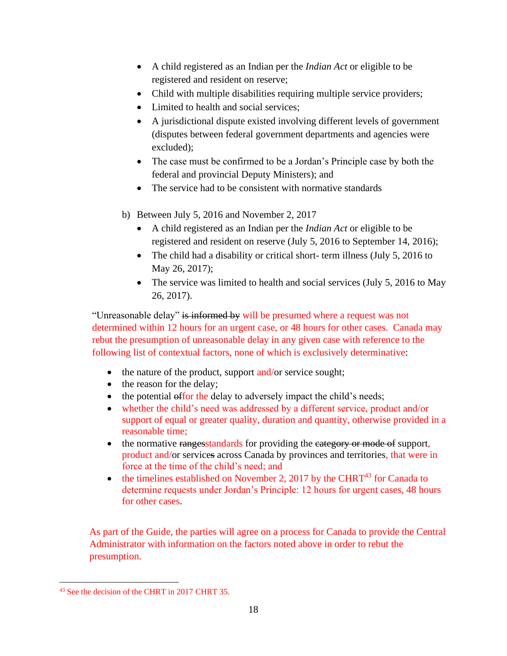- A child registered as an Indian per the *Indian Act* or eligible to be registered and resident on reserve;
- Child with multiple disabilities requiring multiple service providers;
- Limited to health and social services:
- A jurisdictional dispute existed involving different levels of government (disputes between federal government departments and agencies were excluded);
- The case must be confirmed to be a Jordan's Principle case by both the federal and provincial Deputy Ministers); and
- The service had to be consistent with normative standards
- b) Between July 5, 2016 and November 2, 2017
	- A child registered as an Indian per the *Indian Act* or eligible to be registered and resident on reserve (July 5, 2016 to September 14, 2016);
	- The child had a disability or critical short- term illness (July 5, 2016 to May 26, 2017);
	- The service was limited to health and social services (July 5, 2016 to May 26, 2017).

"Unreasonable delay" is informed by will be presumed where a request was not determined within 12 hours for an urgent case, or 48 hours for other cases. Canada may rebut the presumption of unreasonable delay in any given case with reference to the following list of contextual factors, none of which is exclusively determinative:

- the nature of the product, support and/or service sought;
- the reason for the delay;
- the potential offor the delay to adversely impact the child's needs;
- whether the child's need was addressed by a different service, product and/or support of equal or greater quality, duration and quantity, otherwise provided in a reasonable time;
- the normative rangesstandards for providing the eategory or mode of support, product and/or services across Canada by provinces and territories, that were in force at the time of the child's need; and
- the timelines established on November 2, 2017 by the CHRT<sup>43</sup> for Canada to determine requests under Jordan's Principle: 12 hours for urgent cases, 48 hours for other cases.

As part of the Guide, the parties will agree on a process for Canada to provide the Central Administrator with information on the factors noted above in order to rebut the presumption.

<sup>43</sup> See the decision of the CHRT in 2017 CHRT 35.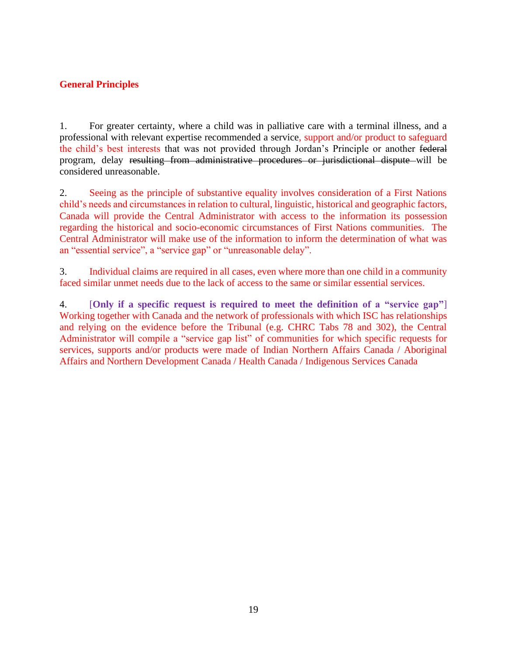# **General Principles**

1. For greater certainty, where a child was in palliative care with a terminal illness, and a professional with relevant expertise recommended a service, support and/or product to safeguard the child's best interests that was not provided through Jordan's Principle or another federal program, delay resulting from administrative procedures or jurisdictional dispute will be considered unreasonable.

2. Seeing as the principle of substantive equality involves consideration of a First Nations child's needs and circumstances in relation to cultural, linguistic, historical and geographic factors, Canada will provide the Central Administrator with access to the information its possession regarding the historical and socio-economic circumstances of First Nations communities. The Central Administrator will make use of the information to inform the determination of what was an "essential service", a "service gap" or "unreasonable delay".

3. Individual claims are required in all cases, even where more than one child in a community faced similar unmet needs due to the lack of access to the same or similar essential services.

4. [**Only if a specific request is required to meet the definition of a "service gap"**] Working together with Canada and the network of professionals with which ISC has relationships and relying on the evidence before the Tribunal (e.g. CHRC Tabs 78 and 302), the Central Administrator will compile a "service gap list" of communities for which specific requests for services, supports and/or products were made of Indian Northern Affairs Canada / Aboriginal Affairs and Northern Development Canada / Health Canada / Indigenous Services Canada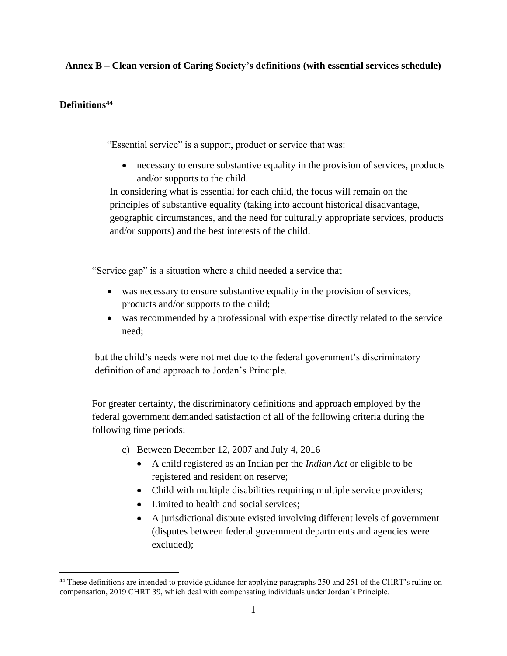# **Annex B – Clean version of Caring Society's definitions (with essential services schedule)**

# **Definitions<sup>44</sup>**

"Essential service" is a support, product or service that was:

• necessary to ensure substantive equality in the provision of services, products and/or supports to the child.

In considering what is essential for each child, the focus will remain on the principles of substantive equality (taking into account historical disadvantage, geographic circumstances, and the need for culturally appropriate services, products and/or supports) and the best interests of the child.

"Service gap" is a situation where a child needed a service that

- was necessary to ensure substantive equality in the provision of services, products and/or supports to the child;
- was recommended by a professional with expertise directly related to the service need;

but the child's needs were not met due to the federal government's discriminatory definition of and approach to Jordan's Principle.

For greater certainty, the discriminatory definitions and approach employed by the federal government demanded satisfaction of all of the following criteria during the following time periods:

- c) Between December 12, 2007 and July 4, 2016
	- A child registered as an Indian per the *Indian Act* or eligible to be registered and resident on reserve;
	- Child with multiple disabilities requiring multiple service providers;
	- Limited to health and social services;
	- A jurisdictional dispute existed involving different levels of government (disputes between federal government departments and agencies were excluded);

<sup>&</sup>lt;sup>44</sup> These definitions are intended to provide guidance for applying paragraphs 250 and 251 of the CHRT's ruling on compensation, 2019 CHRT 39, which deal with compensating individuals under Jordan's Principle.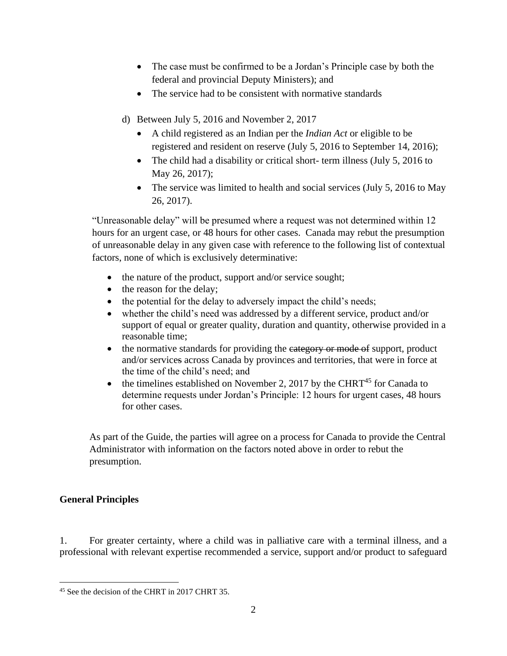- The case must be confirmed to be a Jordan's Principle case by both the federal and provincial Deputy Ministers); and
- The service had to be consistent with normative standards
- d) Between July 5, 2016 and November 2, 2017
	- A child registered as an Indian per the *Indian Act* or eligible to be registered and resident on reserve (July 5, 2016 to September 14, 2016);
	- The child had a disability or critical short- term illness (July 5, 2016 to May 26, 2017);
	- The service was limited to health and social services (July 5, 2016 to May 26, 2017).

"Unreasonable delay" will be presumed where a request was not determined within 12 hours for an urgent case, or 48 hours for other cases. Canada may rebut the presumption of unreasonable delay in any given case with reference to the following list of contextual factors, none of which is exclusively determinative:

- the nature of the product, support and/or service sought;
- the reason for the delay;
- the potential for the delay to adversely impact the child's needs;
- whether the child's need was addressed by a different service, product and/or support of equal or greater quality, duration and quantity, otherwise provided in a reasonable time;
- the normative standards for providing the eategory or mode of support, product and/or services across Canada by provinces and territories, that were in force at the time of the child's need; and
- the timelines established on November 2, 2017 by the CHRT<sup>45</sup> for Canada to determine requests under Jordan's Principle: 12 hours for urgent cases, 48 hours for other cases.

As part of the Guide, the parties will agree on a process for Canada to provide the Central Administrator with information on the factors noted above in order to rebut the presumption.

# **General Principles**

1. For greater certainty, where a child was in palliative care with a terminal illness, and a professional with relevant expertise recommended a service, support and/or product to safeguard

<sup>45</sup> See the decision of the CHRT in 2017 CHRT 35.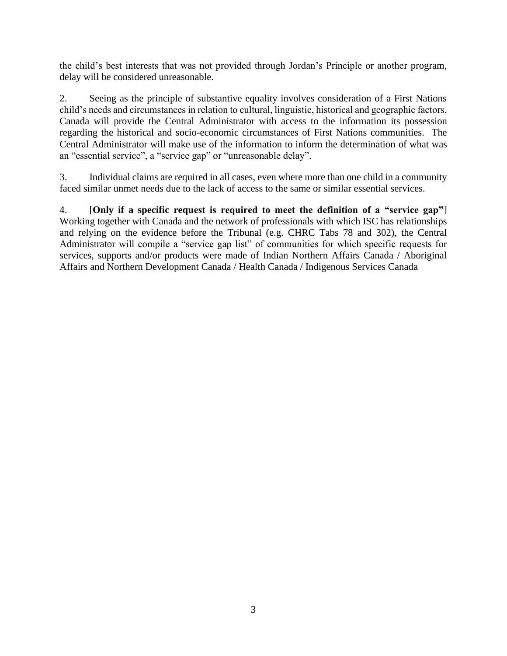the child's best interests that was not provided through Jordan's Principle or another program, delay will be considered unreasonable.

2. Seeing as the principle of substantive equality involves consideration of a First Nations child's needs and circumstances in relation to cultural, linguistic, historical and geographic factors, Canada will provide the Central Administrator with access to the information its possession regarding the historical and socio-economic circumstances of First Nations communities. The Central Administrator will make use of the information to inform the determination of what was an "essential service", a "service gap" or "unreasonable delay".

3. Individual claims are required in all cases, even where more than one child in a community faced similar unmet needs due to the lack of access to the same or similar essential services.

4. [**Only if a specific request is required to meet the definition of a "service gap"**] Working together with Canada and the network of professionals with which ISC has relationships and relying on the evidence before the Tribunal (e.g. CHRC Tabs 78 and 302), the Central Administrator will compile a "service gap list" of communities for which specific requests for services, supports and/or products were made of Indian Northern Affairs Canada / Aboriginal Affairs and Northern Development Canada / Health Canada / Indigenous Services Canada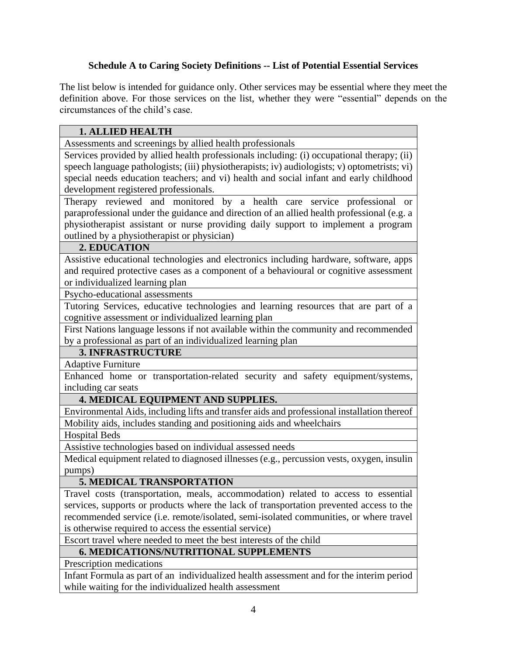# **Schedule A to Caring Society Definitions -- List of Potential Essential Services**

The list below is intended for guidance only. Other services may be essential where they meet the definition above. For those services on the list, whether they were "essential" depends on the circumstances of the child's case.

| <b>1. ALLIED HEALTH</b>                                                                      |
|----------------------------------------------------------------------------------------------|
| Assessments and screenings by allied health professionals                                    |
| Services provided by allied health professionals including: (i) occupational therapy; (ii)   |
| speech language pathologists; (iii) physiotherapists; iv) audiologists; v) optometrists; vi) |
| special needs education teachers; and vi) health and social infant and early childhood       |
| development registered professionals.                                                        |
| Therapy reviewed and monitored by a health care service professional<br><sub>or</sub>        |
| paraprofessional under the guidance and direction of an allied health professional (e.g. a   |
| physiotherapist assistant or nurse providing daily support to implement a program            |
| outlined by a physiotherapist or physician)                                                  |
| 2. EDUCATION                                                                                 |
| Assistive educational technologies and electronics including hardware, software, apps        |
| and required protective cases as a component of a behavioural or cognitive assessment        |
| or individualized learning plan                                                              |
| Psycho-educational assessments                                                               |
| Tutoring Services, educative technologies and learning resources that are part of a          |
| cognitive assessment or individualized learning plan                                         |
| First Nations language lessons if not available within the community and recommended         |
| by a professional as part of an individualized learning plan                                 |
| <b>3. INFRASTRUCTURE</b>                                                                     |
| <b>Adaptive Furniture</b>                                                                    |
| Enhanced home or transportation-related security and safety equipment/systems,               |
| including car seats                                                                          |
| 4. MEDICAL EQUIPMENT AND SUPPLIES.                                                           |
| Environmental Aids, including lifts and transfer aids and professional installation thereof  |
| Mobility aids, includes standing and positioning aids and wheelchairs                        |
| <b>Hospital Beds</b>                                                                         |
| Assistive technologies based on individual assessed needs                                    |
| Medical equipment related to diagnosed illnesses (e.g., percussion vests, oxygen, insulin    |
| pumps)                                                                                       |
| 5. MEDICAL TRANSPORTATION                                                                    |
| Travel costs (transportation, meals, accommodation) related to access to essential           |
| services, supports or products where the lack of transportation prevented access to the      |
| recommended service (i.e. remote/isolated, semi-isolated communities, or where travel        |
| is otherwise required to access the essential service)                                       |
| Escort travel where needed to meet the best interests of the child                           |
| <b>6. MEDICATIONS/NUTRITIONAL SUPPLEMENTS</b>                                                |
| Prescription medications                                                                     |
| Infant Formula as part of an individualized health assessment and for the interim period     |
| while waiting for the individualized health assessment                                       |